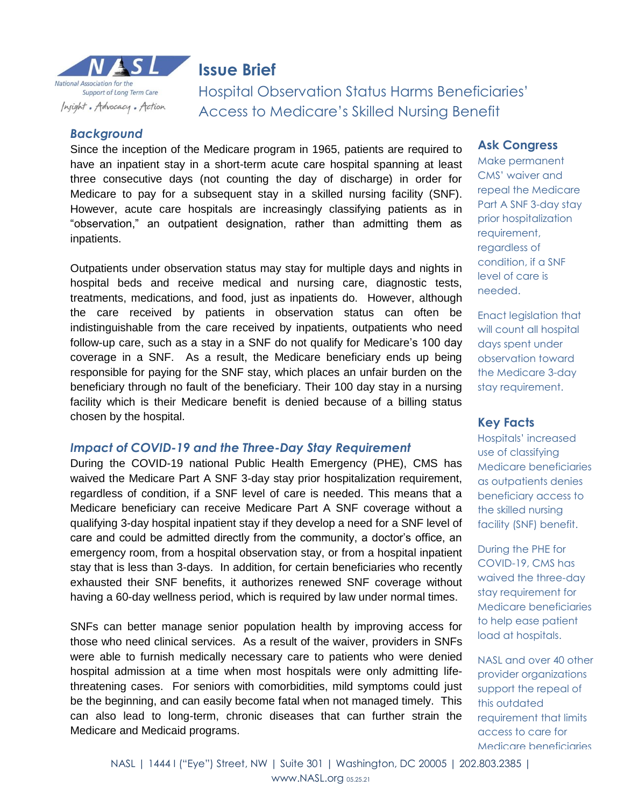

## **Issue Brief**

Hospital Observation Status Harms Beneficiaries' Access to Medicare's Skilled Nursing Benefit

## *Background*

Since the inception of the Medicare program in 1965, patients are required to have an inpatient stay in a short-term acute care hospital spanning at least three consecutive days (not counting the day of discharge) in order for Medicare to pay for a subsequent stay in a skilled nursing facility (SNF). However, acute care hospitals are increasingly classifying patients as in "observation," an outpatient designation, rather than admitting them as inpatients.

Outpatients under observation status may stay for multiple days and nights in hospital beds and receive medical and nursing care, diagnostic tests, treatments, medications, and food, just as inpatients do. However, although the care received by patients in observation status can often be indistinguishable from the care received by inpatients, outpatients who need follow-up care, such as a stay in a SNF do not qualify for Medicare's 100 day coverage in a SNF. As a result, the Medicare beneficiary ends up being responsible for paying for the SNF stay, which places an unfair burden on the beneficiary through no fault of the beneficiary. Their 100 day stay in a nursing facility which is their Medicare benefit is denied because of a billing status chosen by the hospital.

#### *Impact of COVID-19 and the Three-Day Stay Requirement*

During the COVID-19 national Public Health Emergency (PHE), CMS has waived the Medicare Part A SNF 3-day stay prior hospitalization requirement, regardless of condition, if a SNF level of care is needed. This means that a Medicare beneficiary can receive Medicare Part A SNF coverage without a qualifying 3-day hospital inpatient stay if they develop a need for a SNF level of care and could be admitted directly from the community, a doctor's office, an emergency room, from a hospital observation stay, or from a hospital inpatient stay that is less than 3-days. In addition, for certain beneficiaries who recently exhausted their SNF benefits, it authorizes renewed SNF coverage without having a 60-day wellness period, which is required by law under normal times.

SNFs can better manage senior population health by improving access for those who need clinical services. As a result of the waiver, providers in SNFs were able to furnish medically necessary care to patients who were denied hospital admission at a time when most hospitals were only admitting lifethreatening cases. For seniors with comorbidities, mild symptoms could just be the beginning, and can easily become fatal when not managed timely. This can also lead to long-term, chronic diseases that can further strain the Medicare and Medicaid programs.

#### **Ask Congress**

Make permanent CMS' waiver and repeal the Medicare Part A SNF 3-day stay prior hospitalization requirement, regardless of condition, if a SNF level of care is needed.

Enact legislation that will count all hospital days spent under observation toward the Medicare 3-day stay requirement.

## **Key Facts**

Hospitals' increased use of classifying Medicare beneficiaries as outpatients denies beneficiary access to the skilled nursing facility (SNF) benefit.

During the PHE for COVID-19, CMS has waived the three-day stay requirement for Medicare beneficiaries to help ease patient load at hospitals.

NASL and over 40 other provider organizations support the repeal of this outdated requirement that limits access to care for Medicare beneficiaries